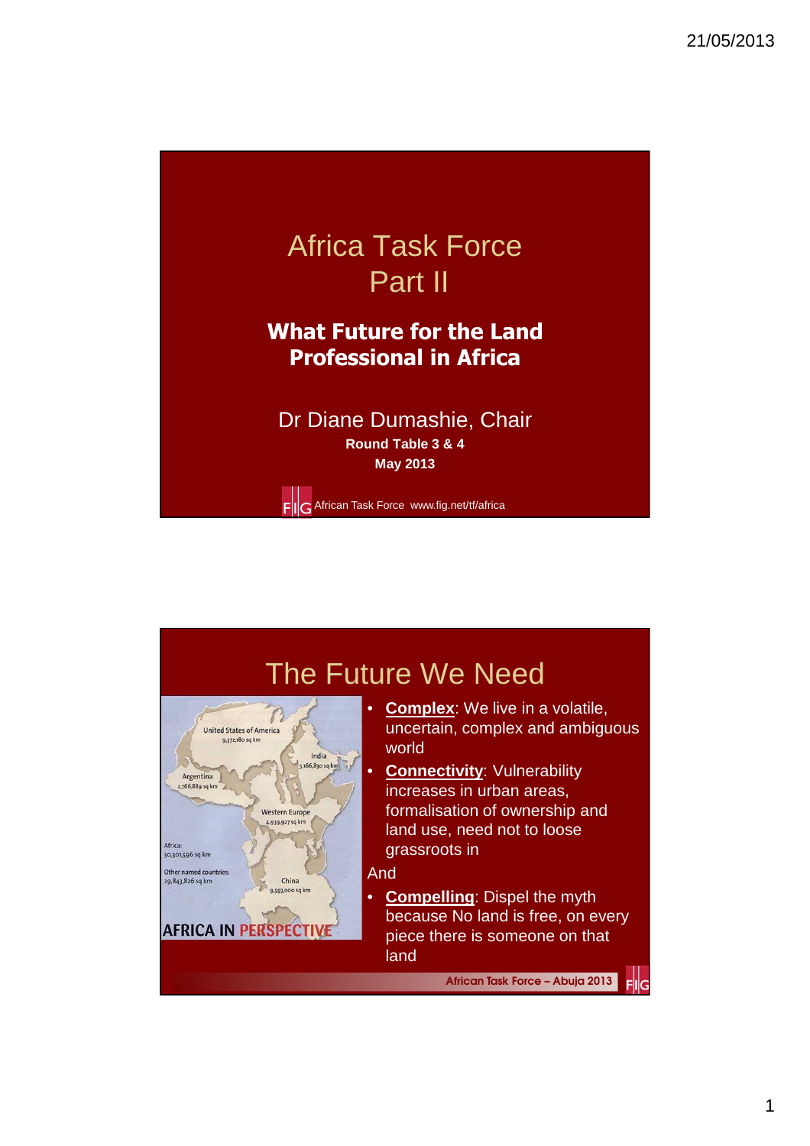

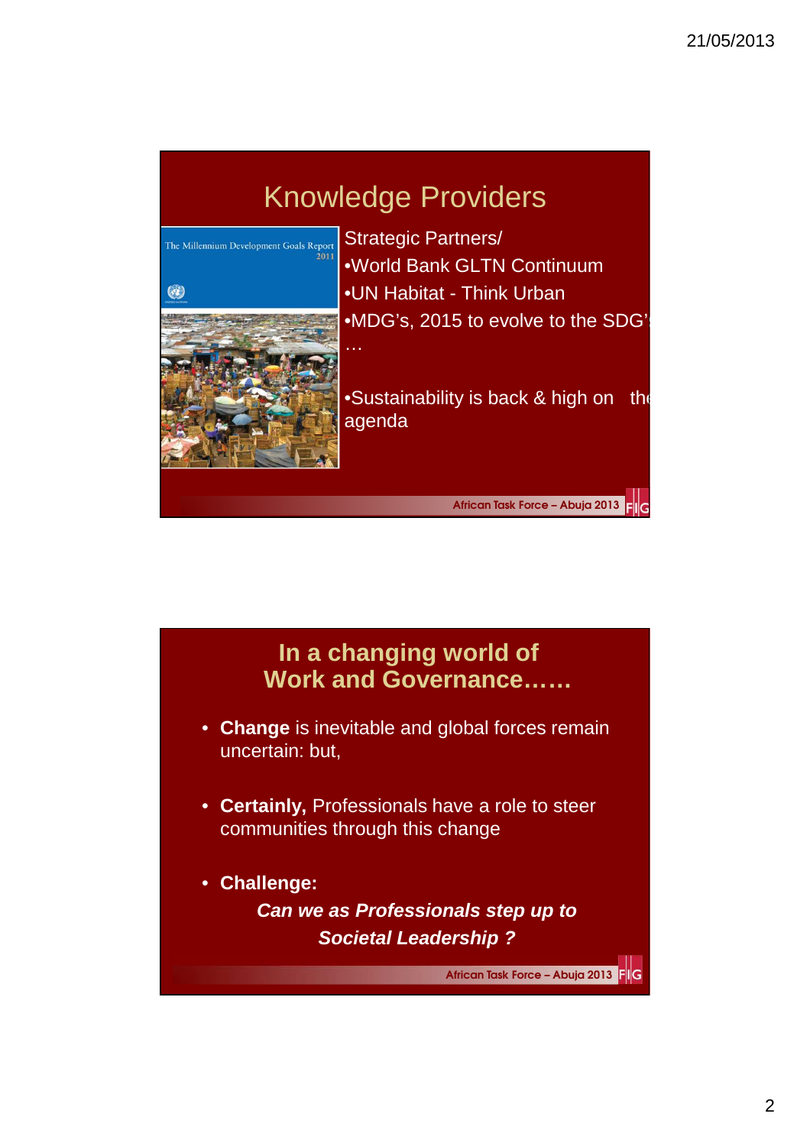# Knowledge Providers



Strategic Partners/ •World Bank GLTN Continuum •UN Habitat - Think Urban •MDG's, 2015 to evolve to the SDG'

•Sustainability is back & high on the agenda

African Task Force – Abuja 2013 Elle

### **In a changing world of Work and Governance……**

- **Change** is inevitable and global forces remain uncertain: but,
- **Certainly,** Professionals have a role to steer communities through this change
- **Challenge:**

**Can we as Professionals step up to Societal Leadership ?**

African Task Force – Abuja 2013 FIG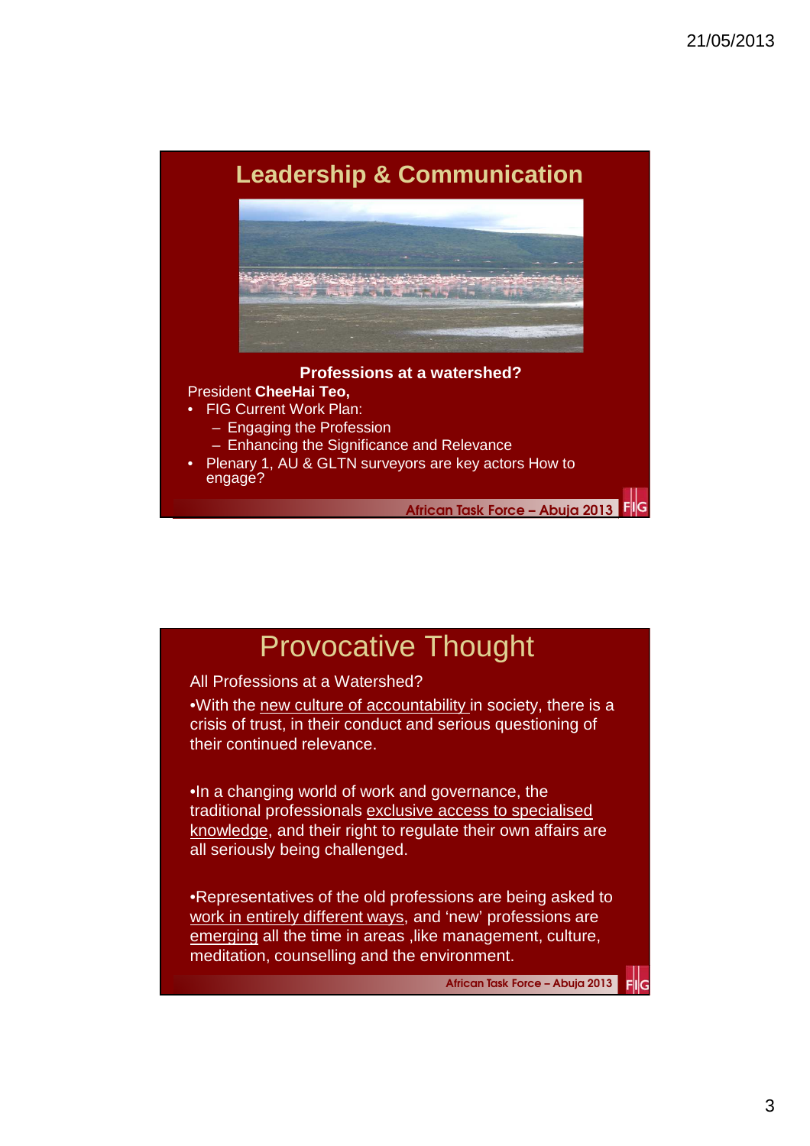### **Leadership & Communication**



#### **Professions at a watershed?**

### President **CheeHai Teo,**

- **FIG Current Work Plan:** 
	- Engaging the Profession
	- Enhancing the Significance and Relevance
- Plenary 1, AU & GLTN surveyors are key actors How to engage?

African Task Force – Abuja 2013

## Provocative Thought

#### All Professions at a Watershed?

•With the new culture of accountability in society, there is a crisis of trust, in their conduct and serious questioning of their continued relevance.

•In a changing world of work and governance, the traditional professionals exclusive access to specialised knowledge, and their right to regulate their own affairs are all seriously being challenged.

•Representatives of the old professions are being asked to work in entirely different ways, and 'new' professions are emerging all the time in areas , like management, culture, meditation, counselling and the environment.

African Task Force – Abuja 2013

FIIG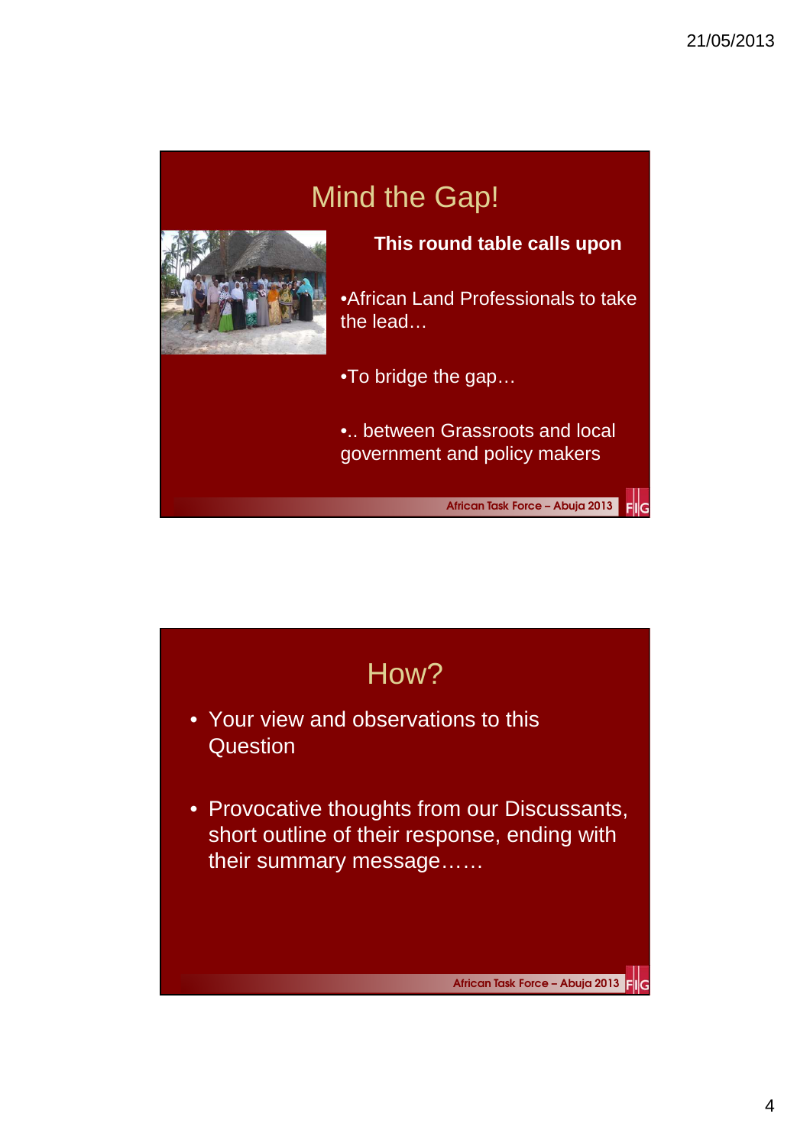# Mind the Gap!



**This round table calls upon** 

•African Land Professionals to take the lead…

•To bridge the gap…

•.. between Grassroots and local government and policy makers

African Task Force – Abuja 2013

FIIG

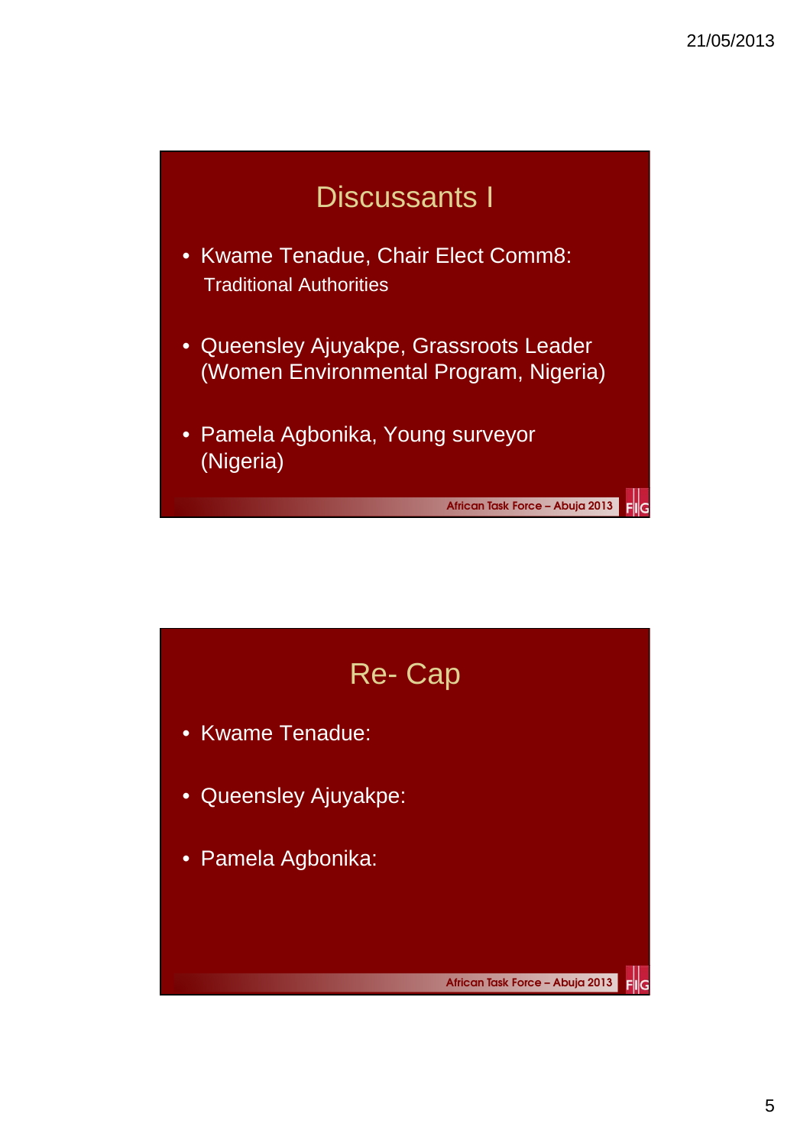

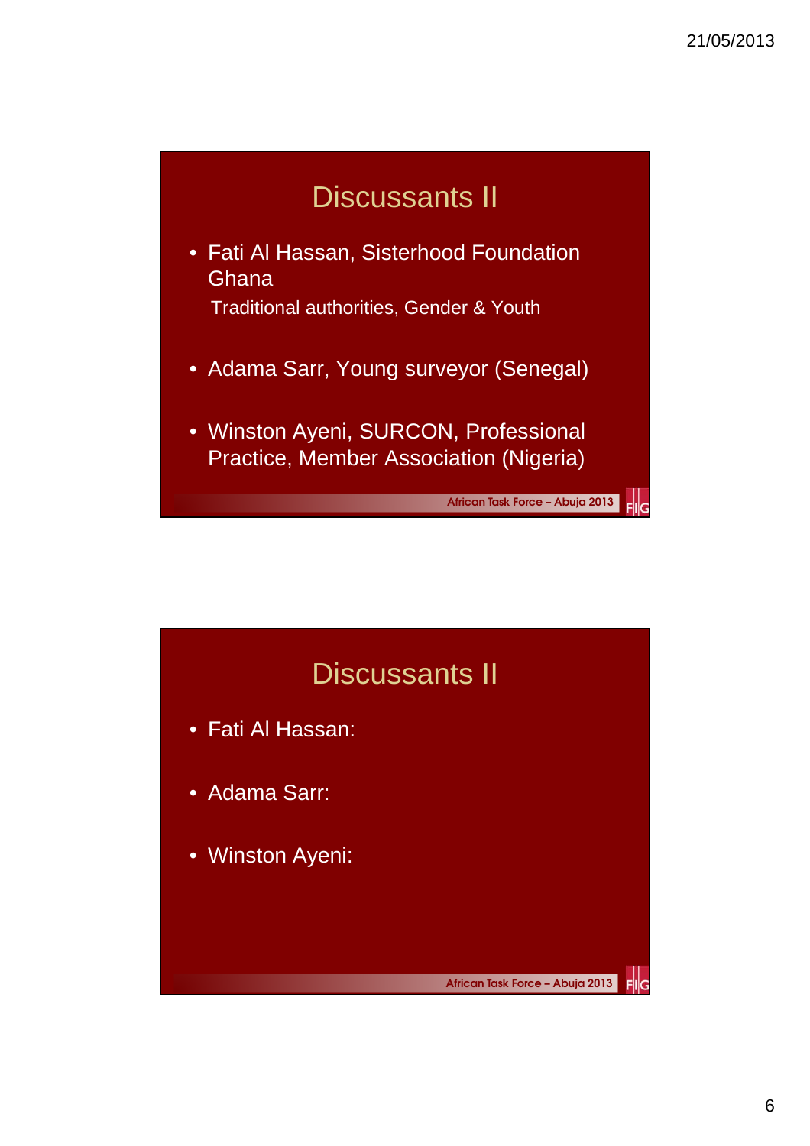

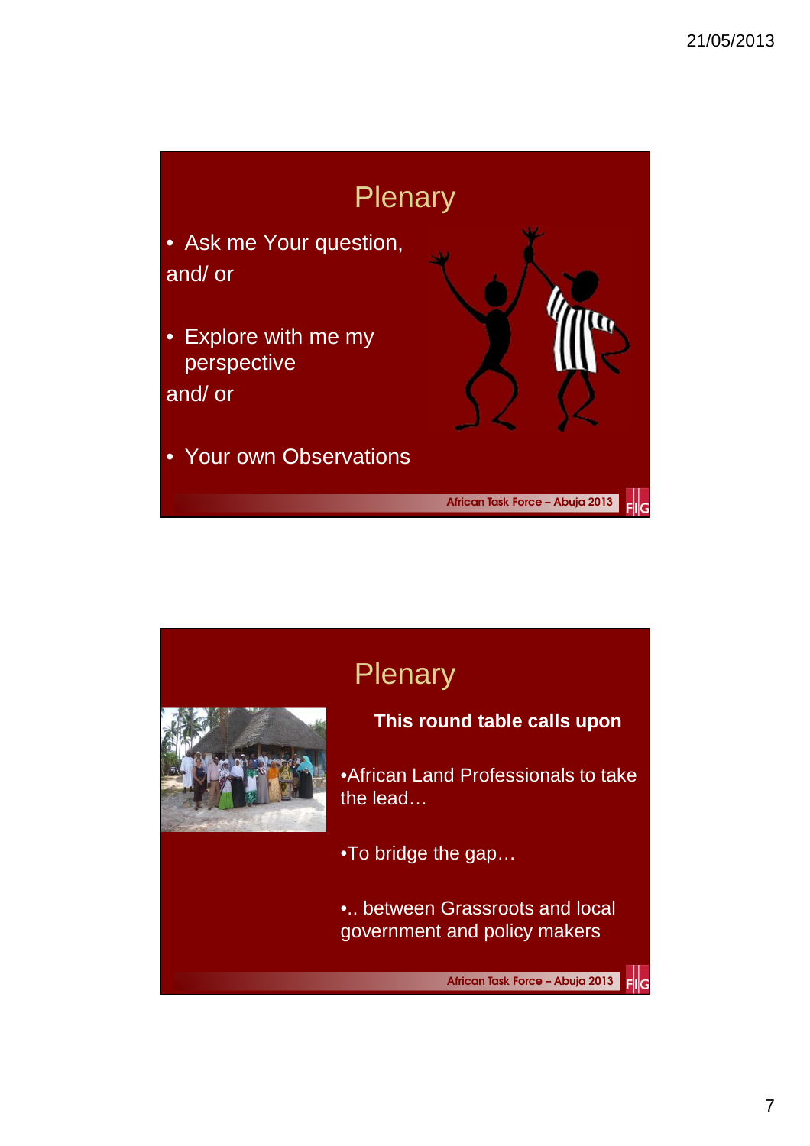

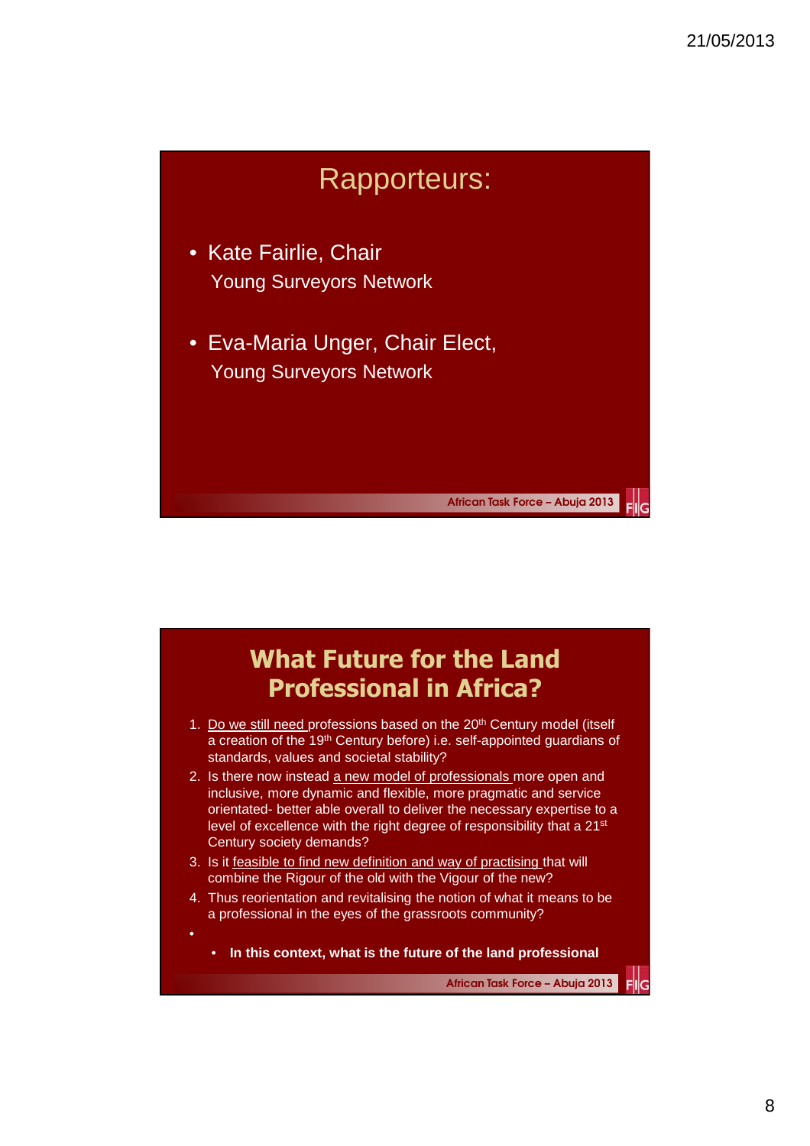

- Kate Fairlie, Chair Young Surveyors Network
- Eva-Maria Unger, Chair Elect, Young Surveyors Network

### What Future for the Land Professional in Africa?

- 1. Do we still need professions based on the 20<sup>th</sup> Century model (itself a creation of the 19<sup>th</sup> Century before) i.e. self-appointed guardians of standards, values and societal stability?
- 2. Is there now instead a new model of professionals more open and inclusive, more dynamic and flexible, more pragmatic and service orientated- better able overall to deliver the necessary expertise to a level of excellence with the right degree of responsibility that a 21st Century society demands?
- 3. Is it feasible to find new definition and way of practising that will combine the Rigour of the old with the Vigour of the new?

•

- 4. Thus reorientation and revitalising the notion of what it means to be a professional in the eyes of the grassroots community?
	- **In this context, what is the future of the land professional**

African Task Force – Abuja 2013

FIIG

African Task Force – Abuja 2013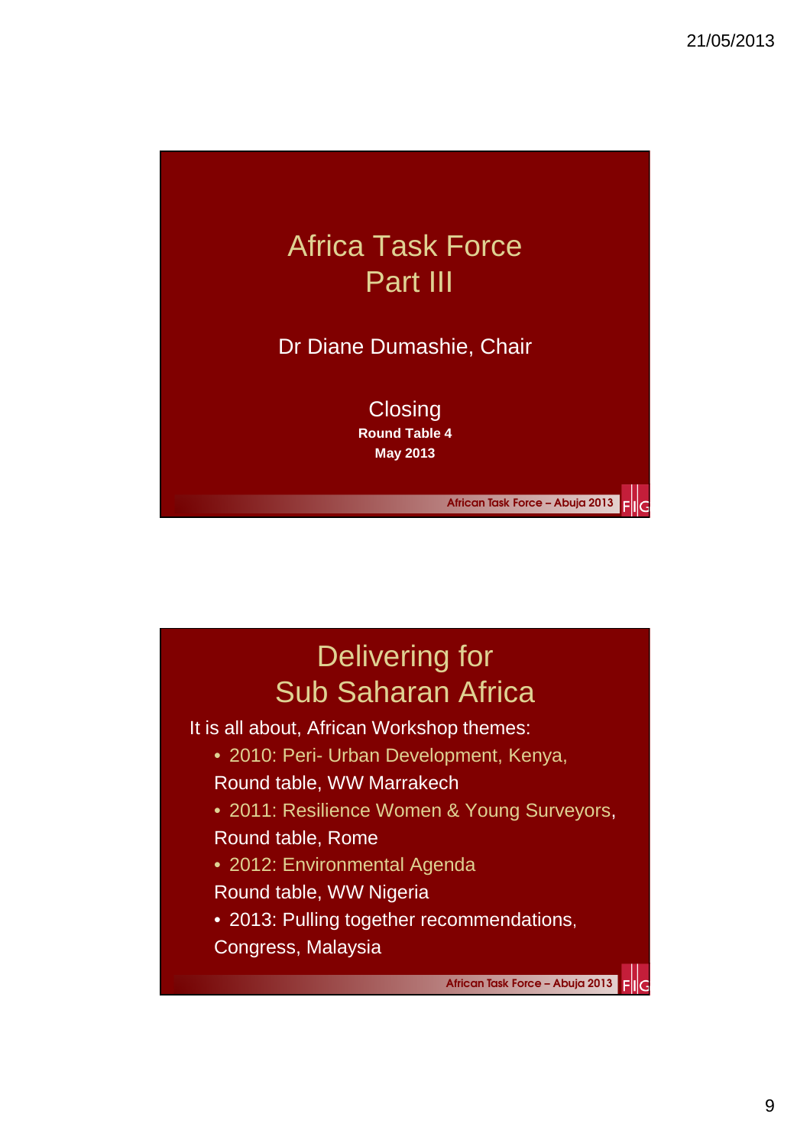

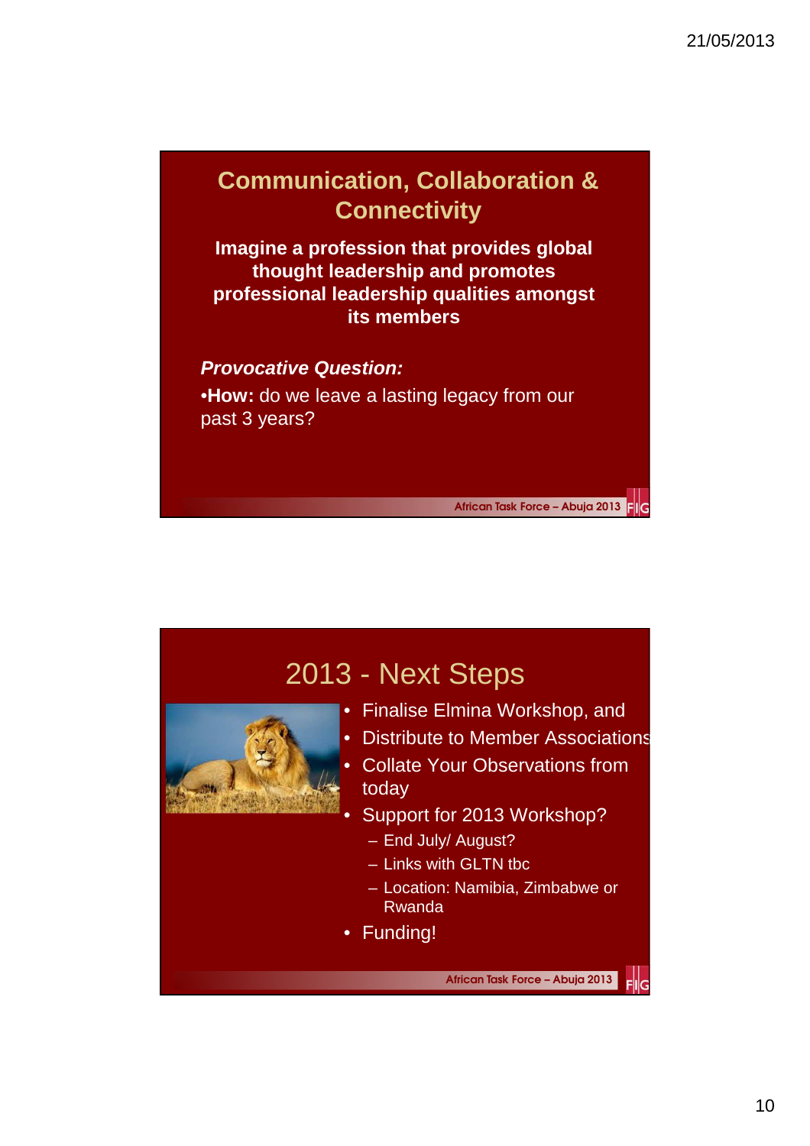## **Communication, Collaboration & Connectivity**

**Imagine a profession that provides global thought leadership and promotes professional leadership qualities amongst its members**

### **Provocative Question:**

•**How:** do we leave a lasting legacy from our past 3 years?

African Task Force – Abuja 2013

## 2013 - Next Steps • Finalise Elmina Workshop, and • Distribute to Member Associations • Collate Your Observations from today Support for 2013 Workshop? – End July/ August? – Links with GLTN tbc – Location: Namibia, Zimbabwe or Rwanda • Funding! African Task Force – Abuja 2013  $\mathsf{Fll}_G$